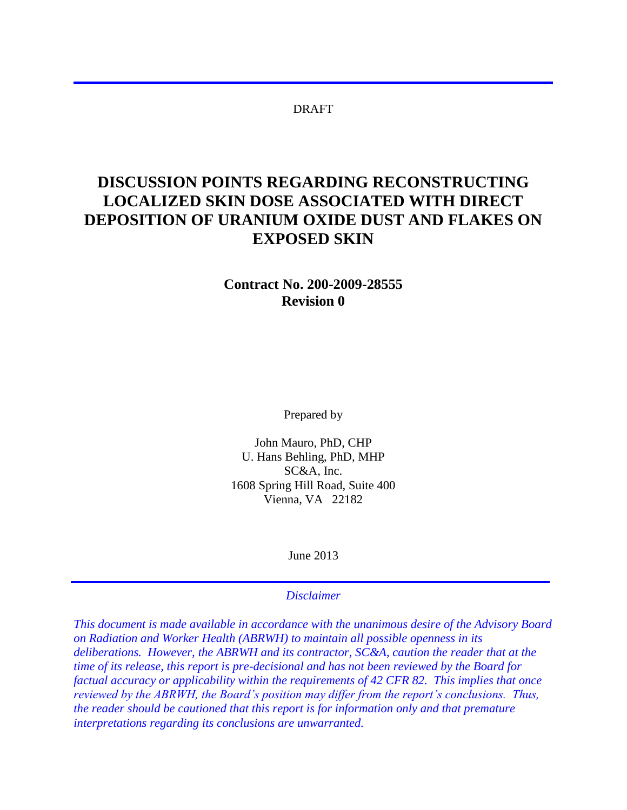#### DRAFT

# **DISCUSSION POINTS REGARDING RECONSTRUCTING LOCALIZED SKIN DOSE ASSOCIATED WITH DIRECT DEPOSITION OF URANIUM OXIDE DUST AND FLAKES ON EXPOSED SKIN**

**Contract No. 200-2009-28555 Revision 0** 

Prepared by

John Mauro, PhD, CHP U. Hans Behling, PhD, MHP SC&A, Inc. 1608 Spring Hill Road, Suite 400 Vienna, VA 22182

June 2013

*Disclaimer* 

*This document is made available in accordance with the unanimous desire of the Advisory Board on Radiation and Worker Health (ABRWH) to maintain all possible openness in its deliberations. However, the ABRWH and its contractor, SC&A, caution the reader that at the time of its release, this report is pre-decisional and has not been reviewed by the Board for factual accuracy or applicability within the requirements of 42 CFR 82. This implies that once reviewed by the ABRWH, the Board's position may differ from the report's conclusions. Thus, the reader should be cautioned that this report is for information only and that premature interpretations regarding its conclusions are unwarranted.*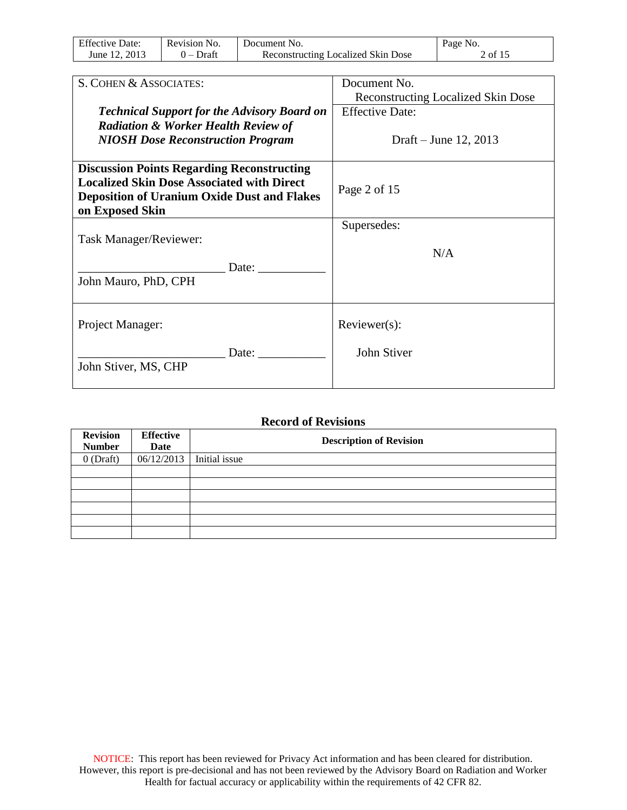| <b>Effective Date:</b> | Revision No. | Document No.                              | Page No. |
|------------------------|--------------|-------------------------------------------|----------|
| June 12, 2013          | $0$ – Draft  | <b>Reconstructing Localized Skin Dose</b> | 2 of 15  |

| S. COHEN & ASSOCIATES:                             | Document No.                              |
|----------------------------------------------------|-------------------------------------------|
|                                                    | <b>Reconstructing Localized Skin Dose</b> |
| <b>Technical Support for the Advisory Board on</b> | <b>Effective Date:</b>                    |
| <b>Radiation &amp; Worker Health Review of</b>     |                                           |
| <b>NIOSH Dose Reconstruction Program</b>           | Draft – June 12, 2013                     |
|                                                    |                                           |
|                                                    |                                           |
| <b>Discussion Points Regarding Reconstructing</b>  |                                           |
| <b>Localized Skin Dose Associated with Direct</b>  | Page 2 of 15                              |
| <b>Deposition of Uranium Oxide Dust and Flakes</b> |                                           |
| on Exposed Skin                                    |                                           |
|                                                    | Supersedes:                               |
| Task Manager/Reviewer:                             |                                           |
|                                                    | N/A                                       |
| Date:                                              |                                           |
|                                                    |                                           |
| John Mauro, PhD, CPH                               |                                           |
|                                                    |                                           |
|                                                    |                                           |
| Project Manager:                                   | $Reviewer(s)$ :                           |
|                                                    |                                           |
| Date:                                              | John Stiver                               |
| John Stiver, MS, CHP                               |                                           |
|                                                    |                                           |
|                                                    |                                           |

#### **Record of Revisions**

| <b>Revision</b><br><b>Number</b> | <b>Effective</b><br>Date | <b>Description of Revision</b> |
|----------------------------------|--------------------------|--------------------------------|
| $0$ (Draft)                      | 06/12/2013               | Initial issue                  |
|                                  |                          |                                |
|                                  |                          |                                |
|                                  |                          |                                |
|                                  |                          |                                |
|                                  |                          |                                |
|                                  |                          |                                |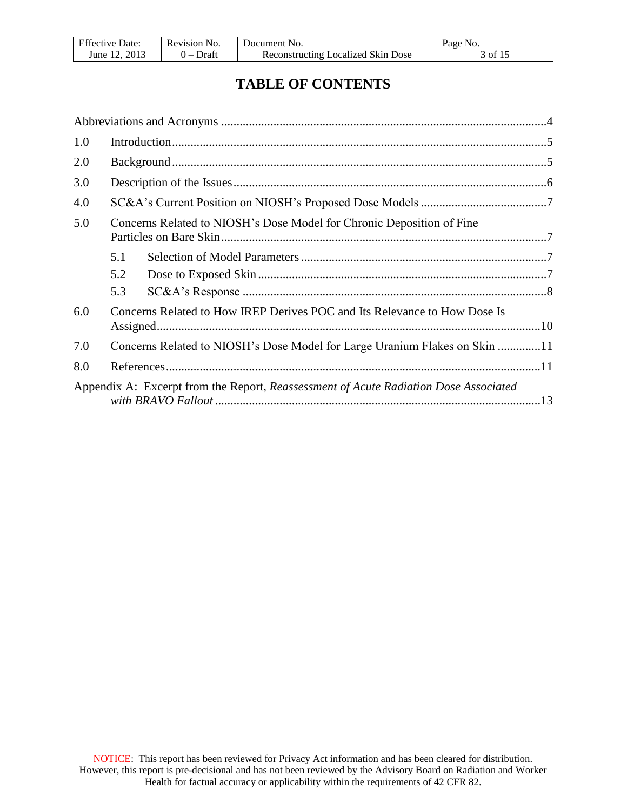| <b>Effective Date:</b> | Revision No. | Document No.                              | Page No. |
|------------------------|--------------|-------------------------------------------|----------|
| June 12, 2013          | $0$ – Draft  | <b>Reconstructing Localized Skin Dose</b> | 3 of 15  |

## **TABLE OF CONTENTS**

| 1.0 |     |                                                                                      |  |
|-----|-----|--------------------------------------------------------------------------------------|--|
| 2.0 |     |                                                                                      |  |
| 3.0 |     |                                                                                      |  |
| 4.0 |     |                                                                                      |  |
| 5.0 |     | Concerns Related to NIOSH's Dose Model for Chronic Deposition of Fine                |  |
|     | 5.1 |                                                                                      |  |
|     | 5.2 |                                                                                      |  |
|     | 5.3 |                                                                                      |  |
| 6.0 |     | Concerns Related to How IREP Derives POC and Its Relevance to How Dose Is            |  |
| 7.0 |     | Concerns Related to NIOSH's Dose Model for Large Uranium Flakes on Skin 11           |  |
| 8.0 |     |                                                                                      |  |
|     |     | Appendix A: Excerpt from the Report, Reassessment of Acute Radiation Dose Associated |  |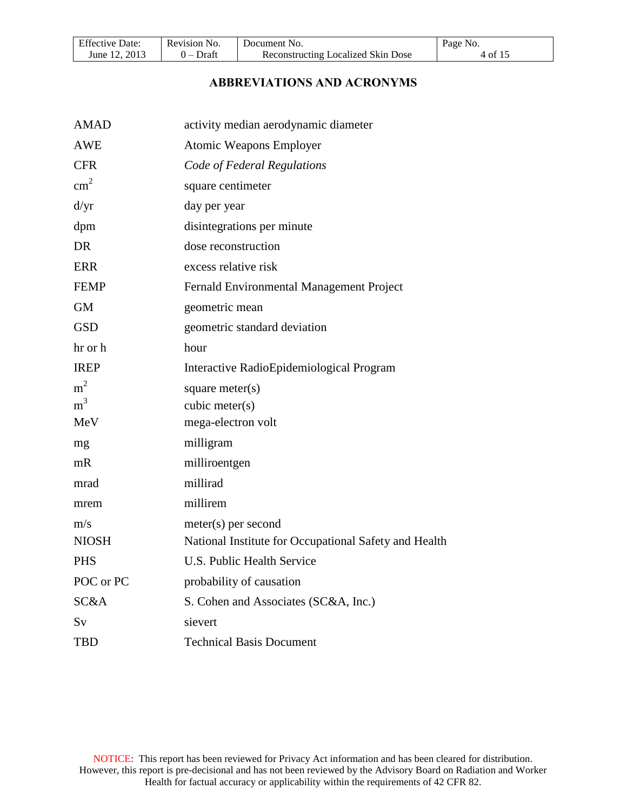<span id="page-3-0"></span>

| <b>Effective Date:</b> | Revision No. | Document No.                              | Page No. |
|------------------------|--------------|-------------------------------------------|----------|
| June 12, 2013          | $0$ – Draft  | <b>Reconstructing Localized Skin Dose</b> | 4 of 15  |

#### **ABBREVIATIONS AND ACRONYMS**

| <b>AMAD</b>    | activity median aerodynamic diameter                  |
|----------------|-------------------------------------------------------|
| <b>AWE</b>     | <b>Atomic Weapons Employer</b>                        |
| <b>CFR</b>     | Code of Federal Regulations                           |
| $\text{cm}^2$  | square centimeter                                     |
| d/yr           | day per year                                          |
| dpm            | disintegrations per minute                            |
| <b>DR</b>      | dose reconstruction                                   |
| <b>ERR</b>     | excess relative risk                                  |
| <b>FEMP</b>    | Fernald Environmental Management Project              |
| <b>GM</b>      | geometric mean                                        |
| <b>GSD</b>     | geometric standard deviation                          |
| hr or h        | hour                                                  |
| <b>IREP</b>    | Interactive RadioEpidemiological Program              |
| m <sup>2</sup> | square meter $(s)$                                    |
| m <sup>3</sup> | cubic meter(s)                                        |
| MeV            | mega-electron volt                                    |
| mg             | milligram                                             |
| mR             | milliroentgen                                         |
| mrad           | millirad                                              |
| mrem           | millirem                                              |
| m/s            | $meter(s)$ per second                                 |
| <b>NIOSH</b>   | National Institute for Occupational Safety and Health |
| <b>PHS</b>     | <b>U.S. Public Health Service</b>                     |
| POC or PC      | probability of causation                              |
| SC&A           | S. Cohen and Associates (SC&A, Inc.)                  |
| Sv             | sievert                                               |
| <b>TBD</b>     | <b>Technical Basis Document</b>                       |
|                |                                                       |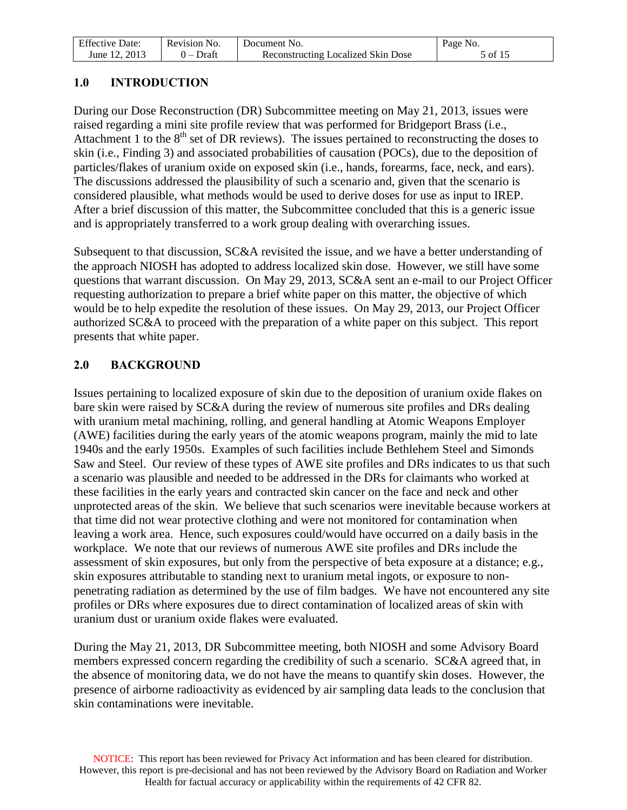| <b>Effective Date:</b> | Revision No. | Document No.                              | Page No. |
|------------------------|--------------|-------------------------------------------|----------|
| June 12, 2013          | $0$ – Draft  | <b>Reconstructing Localized Skin Dose</b> | 5 of 15  |

## <span id="page-4-0"></span>**1.0 INTRODUCTION**

During our Dose Reconstruction (DR) Subcommittee meeting on May 21, 2013, issues were raised regarding a mini site profile review that was performed for Bridgeport Brass (i.e., Attachment 1 to the  $8<sup>th</sup>$  set of DR reviews). The issues pertained to reconstructing the doses to skin (i.e., Finding 3) and associated probabilities of causation (POCs), due to the deposition of particles/flakes of uranium oxide on exposed skin (i.e., hands, forearms, face, neck, and ears). The discussions addressed the plausibility of such a scenario and, given that the scenario is considered plausible, what methods would be used to derive doses for use as input to IREP. After a brief discussion of this matter, the Subcommittee concluded that this is a generic issue and is appropriately transferred to a work group dealing with overarching issues.

Subsequent to that discussion, SC&A revisited the issue, and we have a better understanding of the approach NIOSH has adopted to address localized skin dose. However, we still have some questions that warrant discussion. On May 29, 2013, SC&A sent an e-mail to our Project Officer requesting authorization to prepare a brief white paper on this matter, the objective of which would be to help expedite the resolution of these issues. On May 29, 2013, our Project Officer authorized SC&A to proceed with the preparation of a white paper on this subject. This report presents that white paper.

## <span id="page-4-1"></span>**2.0 BACKGROUND**

Issues pertaining to localized exposure of skin due to the deposition of uranium oxide flakes on bare skin were raised by SC&A during the review of numerous site profiles and DRs dealing with uranium metal machining, rolling, and general handling at Atomic Weapons Employer (AWE) facilities during the early years of the atomic weapons program, mainly the mid to late 1940s and the early 1950s. Examples of such facilities include Bethlehem Steel and Simonds Saw and Steel. Our review of these types of AWE site profiles and DRs indicates to us that such a scenario was plausible and needed to be addressed in the DRs for claimants who worked at these facilities in the early years and contracted skin cancer on the face and neck and other unprotected areas of the skin. We believe that such scenarios were inevitable because workers at that time did not wear protective clothing and were not monitored for contamination when leaving a work area. Hence, such exposures could/would have occurred on a daily basis in the workplace. We note that our reviews of numerous AWE site profiles and DRs include the assessment of skin exposures, but only from the perspective of beta exposure at a distance; e.g., skin exposures attributable to standing next to uranium metal ingots, or exposure to nonpenetrating radiation as determined by the use of film badges. We have not encountered any site profiles or DRs where exposures due to direct contamination of localized areas of skin with uranium dust or uranium oxide flakes were evaluated.

During the May 21, 2013, DR Subcommittee meeting, both NIOSH and some Advisory Board members expressed concern regarding the credibility of such a scenario. SC&A agreed that, in the absence of monitoring data, we do not have the means to quantify skin doses. However, the presence of airborne radioactivity as evidenced by air sampling data leads to the conclusion that skin contaminations were inevitable.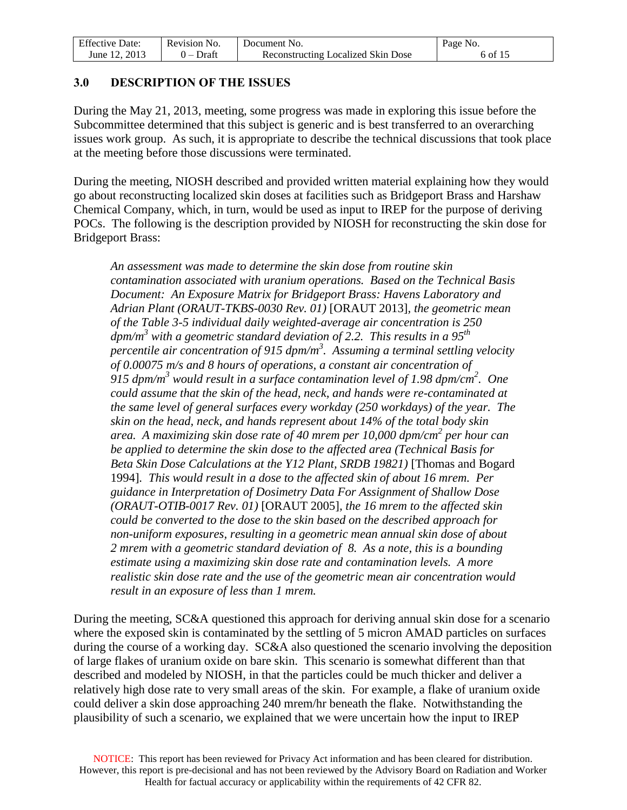| <b>Effective Date:</b> | Revision No. | Document No.                              | Page No. |
|------------------------|--------------|-------------------------------------------|----------|
| June 12, 2013          | $0$ – Draft  | <b>Reconstructing Localized Skin Dose</b> | 6 of 15  |

#### <span id="page-5-0"></span>**3.0 DESCRIPTION OF THE ISSUES**

During the May 21, 2013, meeting, some progress was made in exploring this issue before the Subcommittee determined that this subject is generic and is best transferred to an overarching issues work group. As such, it is appropriate to describe the technical discussions that took place at the meeting before those discussions were terminated.

During the meeting, NIOSH described and provided written material explaining how they would go about reconstructing localized skin doses at facilities such as Bridgeport Brass and Harshaw Chemical Company, which, in turn, would be used as input to IREP for the purpose of deriving POCs. The following is the description provided by NIOSH for reconstructing the skin dose for Bridgeport Brass:

*An assessment was made to determine the skin dose from routine skin contamination associated with uranium operations. Based on the Technical Basis Document: An Exposure Matrix for Bridgeport Brass: Havens Laboratory and Adrian Plant (ORAUT-TKBS-0030 Rev. 01)* [ORAUT 2013]*, the geometric mean of the Table 3-5 individual daily weighted-average air concentration is 250 dpm/m<sup>3</sup> with a geometric standard deviation of 2.2. This results in a 95th percentile air concentration of 915 dpm/m<sup>3</sup> . Assuming a terminal settling velocity of 0.00075 m/s and 8 hours of operations, a constant air concentration of 915 dpm/m<sup>3</sup> would result in a surface contamination level of 1.98 dpm/cm<sup>2</sup> . One could assume that the skin of the head, neck, and hands were re-contaminated at the same level of general surfaces every workday (250 workdays) of the year. The skin on the head, neck, and hands represent about 14% of the total body skin area. A maximizing skin dose rate of 40 mrem per 10,000 dpm/cm<sup>2</sup> per hour can be applied to determine the skin dose to the affected area (Technical Basis for Beta Skin Dose Calculations at the Y12 Plant, SRDB 19821)* [Thomas and Bogard 1994]*. This would result in a dose to the affected skin of about 16 mrem. Per guidance in Interpretation of Dosimetry Data For Assignment of Shallow Dose (ORAUT-OTIB-0017 Rev. 01)* [ORAUT 2005]*, the 16 mrem to the affected skin could be converted to the dose to the skin based on the described approach for non-uniform exposures, resulting in a geometric mean annual skin dose of about 2 mrem with a geometric standard deviation of 8. As a note, this is a bounding estimate using a maximizing skin dose rate and contamination levels. A more realistic skin dose rate and the use of the geometric mean air concentration would result in an exposure of less than 1 mrem.*

During the meeting, SC&A questioned this approach for deriving annual skin dose for a scenario where the exposed skin is contaminated by the settling of 5 micron AMAD particles on surfaces during the course of a working day. SC&A also questioned the scenario involving the deposition of large flakes of uranium oxide on bare skin. This scenario is somewhat different than that described and modeled by NIOSH, in that the particles could be much thicker and deliver a relatively high dose rate to very small areas of the skin. For example, a flake of uranium oxide could deliver a skin dose approaching 240 mrem/hr beneath the flake. Notwithstanding the plausibility of such a scenario, we explained that we were uncertain how the input to IREP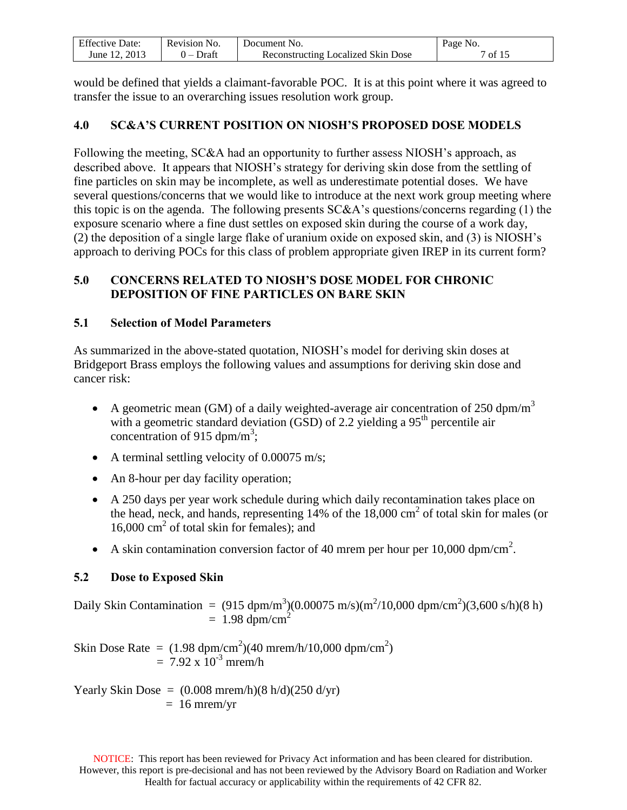| <b>Effective Date:</b> | Revision No. | Document No.                       | Page No. |
|------------------------|--------------|------------------------------------|----------|
| June 12, 2013          | ) – Draft    | Reconstructing Localized Skin Dose | 7 of 15  |

would be defined that yields a claimant-favorable POC. It is at this point where it was agreed to transfer the issue to an overarching issues resolution work group.

## <span id="page-6-0"></span>**4.0 SC&A'S CURRENT POSITION ON NIOSH'S PROPOSED DOSE MODELS**

Following the meeting, SC&A had an opportunity to further assess NIOSH's approach, as described above. It appears that NIOSH's strategy for deriving skin dose from the settling of fine particles on skin may be incomplete, as well as underestimate potential doses. We have several questions/concerns that we would like to introduce at the next work group meeting where this topic is on the agenda. The following presents SC&A's questions/concerns regarding (1) the exposure scenario where a fine dust settles on exposed skin during the course of a work day, (2) the deposition of a single large flake of uranium oxide on exposed skin, and (3) is NIOSH's approach to deriving POCs for this class of problem appropriate given IREP in its current form?

## <span id="page-6-1"></span>**5.0 CONCERNS RELATED TO NIOSH'S DOSE MODEL FOR CHRONIC DEPOSITION OF FINE PARTICLES ON BARE SKIN**

## <span id="page-6-2"></span>**5.1 Selection of Model Parameters**

As summarized in the above-stated quotation, NIOSH's model for deriving skin doses at Bridgeport Brass employs the following values and assumptions for deriving skin dose and cancer risk:

- A geometric mean (GM) of a daily weighted-average air concentration of 250 dpm/m<sup>3</sup> with a geometric standard deviation (GSD) of 2.2 yielding a  $95<sup>th</sup>$  percentile air concentration of 915 dpm/m<sup>3</sup>;
- A terminal settling velocity of  $0.00075$  m/s;
- An 8-hour per day facility operation;
- A 250 days per year work schedule during which daily recontamination takes place on the head, neck, and hands, representing  $14\%$  of the  $18,000 \text{ cm}^2$  of total skin for males (or 16,000 cm<sup>2</sup> of total skin for females); and
- A skin contamination conversion factor of 40 mrem per hour per 10,000 dpm/cm<sup>2</sup>.

## <span id="page-6-3"></span>**5.2 Dose to Exposed Skin**

Daily Skin Contamination =  $(915 \text{ dpm/m}^3)(0.00075 \text{ m/s})(\text{m}^2/10,000 \text{ dpm/cm}^2)(3,600 \text{ s/h})(8 \text{ h})$  $= 1.98$  dpm/cm<sup>2</sup>

Skin Dose Rate =  $(1.98 \text{ dpm/cm}^2)(40 \text{ mrem/h}/10,000 \text{ dpm/cm}^2)$  $= 7.92 \times 10^{-3}$  mrem/h

Yearly Skin Dose =  $(0.008 \text{ mrem/h})(8 \text{ h/d})(250 \text{ d/yr})$  $= 16$  mrem/yr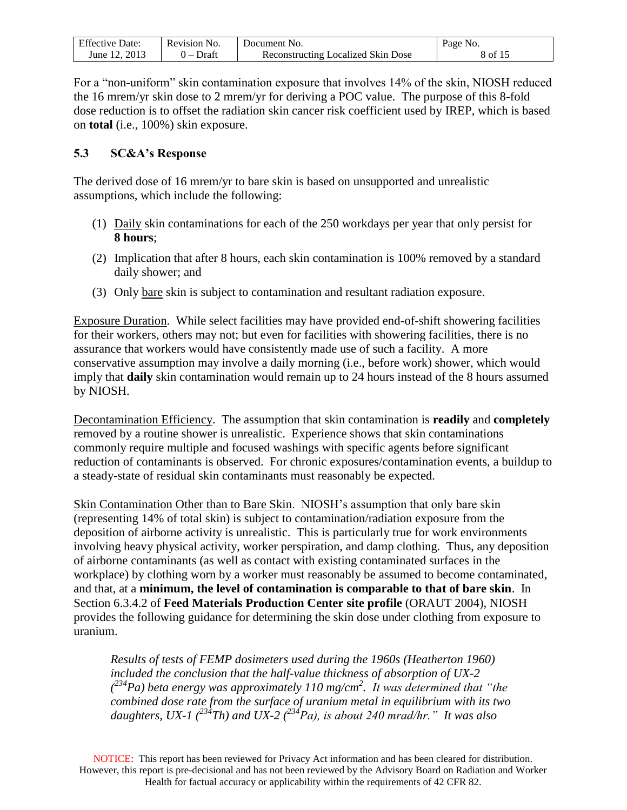| <b>Effective Date:</b> | Revision No. | Document No.                       | Page No. |
|------------------------|--------------|------------------------------------|----------|
| June 12, 2013          | $0$ – Draft  | Reconstructing Localized Skin Dose | 8 of 15  |

For a "non-uniform" skin contamination exposure that involves 14% of the skin, NIOSH reduced the 16 mrem/yr skin dose to 2 mrem/yr for deriving a POC value. The purpose of this 8-fold dose reduction is to offset the radiation skin cancer risk coefficient used by IREP, which is based on **total** (i.e., 100%) skin exposure.

#### <span id="page-7-0"></span>**5.3 SC&A's Response**

The derived dose of 16 mrem/yr to bare skin is based on unsupported and unrealistic assumptions, which include the following:

- (1) Daily skin contaminations for each of the 250 workdays per year that only persist for **8 hours**;
- (2) Implication that after 8 hours, each skin contamination is 100% removed by a standard daily shower; and
- (3) Only bare skin is subject to contamination and resultant radiation exposure.

Exposure Duration. While select facilities may have provided end-of-shift showering facilities for their workers, others may not; but even for facilities with showering facilities, there is no assurance that workers would have consistently made use of such a facility. A more conservative assumption may involve a daily morning (i.e., before work) shower, which would imply that **daily** skin contamination would remain up to 24 hours instead of the 8 hours assumed by NIOSH.

Decontamination Efficiency. The assumption that skin contamination is **readily** and **completely** removed by a routine shower is unrealistic. Experience shows that skin contaminations commonly require multiple and focused washings with specific agents before significant reduction of contaminants is observed. For chronic exposures/contamination events, a buildup to a steady-state of residual skin contaminants must reasonably be expected.

Skin Contamination Other than to Bare Skin. NIOSH's assumption that only bare skin (representing 14% of total skin) is subject to contamination/radiation exposure from the deposition of airborne activity is unrealistic. This is particularly true for work environments involving heavy physical activity, worker perspiration, and damp clothing. Thus, any deposition of airborne contaminants (as well as contact with existing contaminated surfaces in the workplace) by clothing worn by a worker must reasonably be assumed to become contaminated, and that, at a **minimum, the level of contamination is comparable to that of bare skin**. In Section 6.3.4.2 of **Feed Materials Production Center site profile** (ORAUT 2004), NIOSH provides the following guidance for determining the skin dose under clothing from exposure to uranium.

*Results of tests of FEMP dosimeters used during the 1960s (Heatherton 1960) included the conclusion that the half-value thickness of absorption of UX-2 ( <sup>234</sup>Pa) beta energy was approximately 110 mg/cm<sup>2</sup> . It was determined that "the combined dose rate from the surface of uranium metal in equilibrium with its two daughters, UX-1 (<sup>234</sup>Th) and UX-2 (<sup>234</sup>Pa), is about 240 mrad/hr." It was also* 

NOTICE: This report has been reviewed for Privacy Act information and has been cleared for distribution. However, this report is pre-decisional and has not been reviewed by the Advisory Board on Radiation and Worker Health for factual accuracy or applicability within the requirements of 42 CFR 82.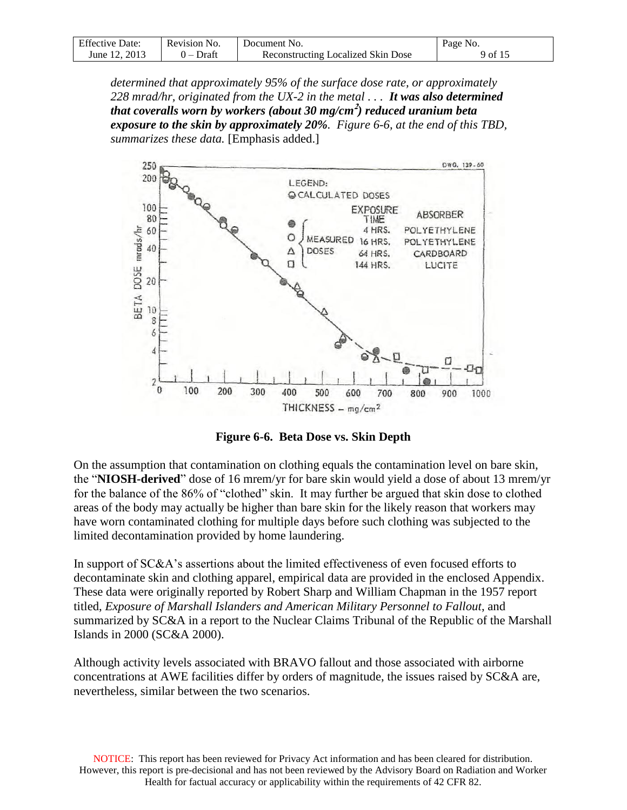| <b>Effective Date:</b> | Revision No. | Document No.                       | Page No. |
|------------------------|--------------|------------------------------------|----------|
| June 12, 2013          | $0$ – Draft  | Reconstructing Localized Skin Dose | 9 of 15  |

*determined that approximately 95% of the surface dose rate, or approximately 228 mrad/hr, originated from the UX-2 in the metal . . . It was also determined that coveralls worn by workers (about 30 mg/cm* **2** *) reduced uranium beta exposure to the skin by approximately 20%. Figure 6-6, at the end of this TBD, summarizes these data.* [Emphasis added.]



**Figure 6-6. Beta Dose vs. Skin Depth**

On the assumption that contamination on clothing equals the contamination level on bare skin, the "**NIOSH-derived**" dose of 16 mrem/yr for bare skin would yield a dose of about 13 mrem/yr for the balance of the 86% of "clothed" skin. It may further be argued that skin dose to clothed areas of the body may actually be higher than bare skin for the likely reason that workers may have worn contaminated clothing for multiple days before such clothing was subjected to the limited decontamination provided by home laundering.

In support of SC&A's assertions about the limited effectiveness of even focused efforts to decontaminate skin and clothing apparel, empirical data are provided in the enclosed Appendix. These data were originally reported by Robert Sharp and William Chapman in the 1957 report titled, *Exposure of Marshall Islanders and American Military Personnel to Fallout*, and summarized by SC&A in a report to the Nuclear Claims Tribunal of the Republic of the Marshall Islands in 2000 (SC&A 2000).

Although activity levels associated with BRAVO fallout and those associated with airborne concentrations at AWE facilities differ by orders of magnitude, the issues raised by SC&A are, nevertheless, similar between the two scenarios.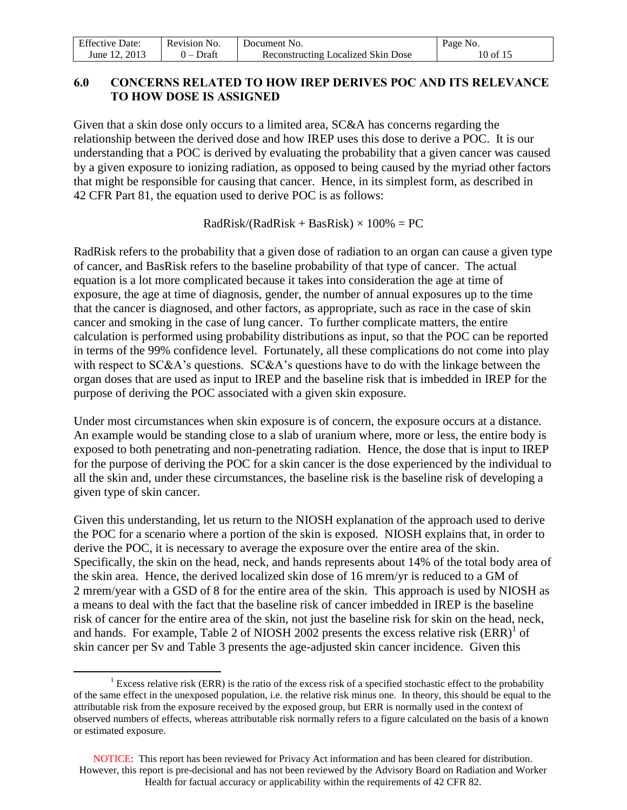| <b>Effective Date:</b> | Revision No. | Document No.                              | Page No. |
|------------------------|--------------|-------------------------------------------|----------|
| June 12, 2013          | $0$ – Draft  | <b>Reconstructing Localized Skin Dose</b> | 10 of 15 |

## <span id="page-9-0"></span>**6.0 CONCERNS RELATED TO HOW IREP DERIVES POC AND ITS RELEVANCE TO HOW DOSE IS ASSIGNED**

Given that a skin dose only occurs to a limited area, SC&A has concerns regarding the relationship between the derived dose and how IREP uses this dose to derive a POC. It is our understanding that a POC is derived by evaluating the probability that a given cancer was caused by a given exposure to ionizing radiation, as opposed to being caused by the myriad other factors that might be responsible for causing that cancer. Hence, in its simplest form, as described in 42 CFR Part 81, the equation used to derive POC is as follows:

 $RadRisk/(RadRisk + BasRisk) \times 100\% = PC$ 

RadRisk refers to the probability that a given dose of radiation to an organ can cause a given type of cancer, and BasRisk refers to the baseline probability of that type of cancer. The actual equation is a lot more complicated because it takes into consideration the age at time of exposure, the age at time of diagnosis, gender, the number of annual exposures up to the time that the cancer is diagnosed, and other factors, as appropriate, such as race in the case of skin cancer and smoking in the case of lung cancer. To further complicate matters, the entire calculation is performed using probability distributions as input, so that the POC can be reported in terms of the 99% confidence level. Fortunately, all these complications do not come into play with respect to SC&A's questions. SC&A's questions have to do with the linkage between the organ doses that are used as input to IREP and the baseline risk that is imbedded in IREP for the purpose of deriving the POC associated with a given skin exposure.

Under most circumstances when skin exposure is of concern, the exposure occurs at a distance. An example would be standing close to a slab of uranium where, more or less, the entire body is exposed to both penetrating and non-penetrating radiation. Hence, the dose that is input to IREP for the purpose of deriving the POC for a skin cancer is the dose experienced by the individual to all the skin and, under these circumstances, the baseline risk is the baseline risk of developing a given type of skin cancer.

Given this understanding, let us return to the NIOSH explanation of the approach used to derive the POC for a scenario where a portion of the skin is exposed. NIOSH explains that, in order to derive the POC, it is necessary to average the exposure over the entire area of the skin. Specifically, the skin on the head, neck, and hands represents about 14% of the total body area of the skin area. Hence, the derived localized skin dose of 16 mrem/yr is reduced to a GM of 2 mrem/year with a GSD of 8 for the entire area of the skin. This approach is used by NIOSH as a means to deal with the fact that the baseline risk of cancer imbedded in IREP is the baseline risk of cancer for the entire area of the skin, not just the baseline risk for skin on the head, neck, and hands. For example, Table 2 of NIOSH 2002 presents the excess relative risk  $(ERR)^{1}$  of skin cancer per Sv and Table 3 presents the age-adjusted skin cancer incidence. Given this

 $\overline{a}$ 

 $1$  Excess relative risk (ERR) is the ratio of the excess risk of a specified stochastic effect to the probability of the same effect in the unexposed population, i.e. the relative risk minus one. In theory, this should be equal to the attributable risk from the exposure received by the exposed group, but ERR is normally used in the context of observed numbers of effects, whereas attributable risk normally refers to a figure calculated on the basis of a known or estimated exposure.

NOTICE: This report has been reviewed for Privacy Act information and has been cleared for distribution. However, this report is pre-decisional and has not been reviewed by the Advisory Board on Radiation and Worker Health for factual accuracy or applicability within the requirements of 42 CFR 82.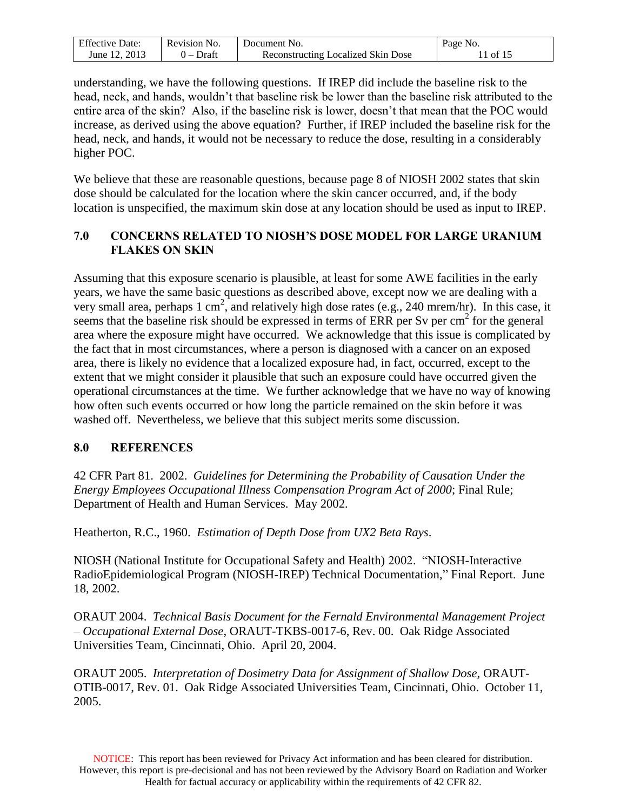| <b>Effective Date:</b> | Revision No. | Document No.                       | Page No. |
|------------------------|--------------|------------------------------------|----------|
| June 12, 2013          | $0$ – Draft  | Reconstructing Localized Skin Dose | 11 of 15 |

understanding, we have the following questions. If IREP did include the baseline risk to the head, neck, and hands, wouldn't that baseline risk be lower than the baseline risk attributed to the entire area of the skin? Also, if the baseline risk is lower, doesn't that mean that the POC would increase, as derived using the above equation? Further, if IREP included the baseline risk for the head, neck, and hands, it would not be necessary to reduce the dose, resulting in a considerably higher POC.

We believe that these are reasonable questions, because page 8 of NIOSH 2002 states that skin dose should be calculated for the location where the skin cancer occurred, and, if the body location is unspecified, the maximum skin dose at any location should be used as input to IREP.

## <span id="page-10-0"></span>**7.0 CONCERNS RELATED TO NIOSH'S DOSE MODEL FOR LARGE URANIUM FLAKES ON SKIN**

Assuming that this exposure scenario is plausible, at least for some AWE facilities in the early years, we have the same basic questions as described above, except now we are dealing with a very small area, perhaps 1 cm<sup>2</sup>, and relatively high dose rates (e.g., 240 mrem/hr). In this case, it seems that the baseline risk should be expressed in terms of ERR per Sv per  $\text{cm}^2$  for the general area where the exposure might have occurred. We acknowledge that this issue is complicated by the fact that in most circumstances, where a person is diagnosed with a cancer on an exposed area, there is likely no evidence that a localized exposure had, in fact, occurred, except to the extent that we might consider it plausible that such an exposure could have occurred given the operational circumstances at the time. We further acknowledge that we have no way of knowing how often such events occurred or how long the particle remained on the skin before it was washed off. Nevertheless, we believe that this subject merits some discussion.

#### <span id="page-10-1"></span>**8.0 REFERENCES**

42 CFR Part 81. 2002. *Guidelines for Determining the Probability of Causation Under the Energy Employees Occupational Illness Compensation Program Act of 2000*; Final Rule; Department of Health and Human Services. May 2002.

Heatherton, R.C., 1960. *Estimation of Depth Dose from UX2 Beta Rays*.

NIOSH (National Institute for Occupational Safety and Health) 2002. "NIOSH-Interactive RadioEpidemiological Program (NIOSH-IREP) Technical Documentation," Final Report. June 18, 2002.

ORAUT 2004. *Technical Basis Document for the Fernald Environmental Management Project – Occupational External Dose*, ORAUT-TKBS-0017-6, Rev. 00. Oak Ridge Associated Universities Team, Cincinnati, Ohio. April 20, 2004.

ORAUT 2005. *Interpretation of Dosimetry Data for Assignment of Shallow Dose*, ORAUT-OTIB-0017, Rev. 01. Oak Ridge Associated Universities Team, Cincinnati, Ohio. October 11, 2005.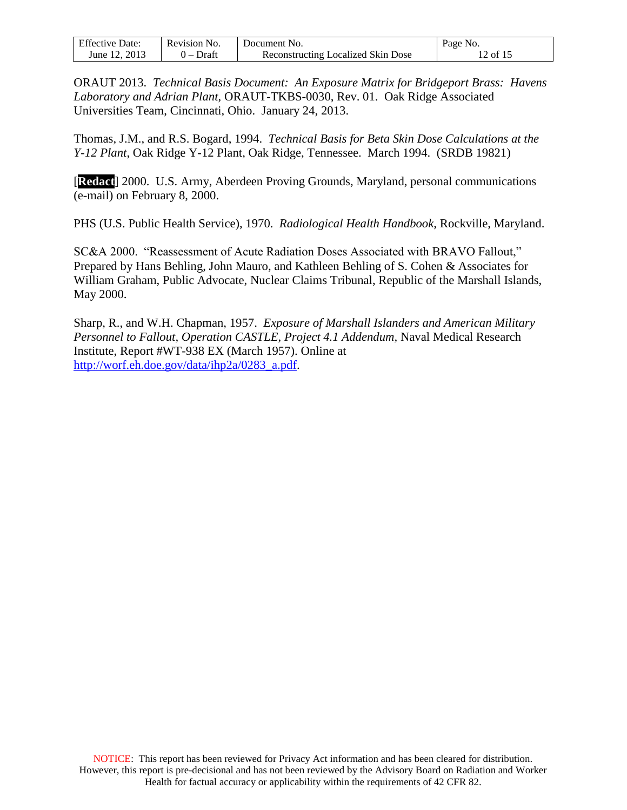| <b>Effective Date:</b> | Revision No. | Document No.                       | Page No. |
|------------------------|--------------|------------------------------------|----------|
| June 12, 2013          | 0 – Draft    | Reconstructing Localized Skin Dose | 12 of 15 |

ORAUT 2013. *Technical Basis Document: An Exposure Matrix for Bridgeport Brass: Havens Laboratory and Adrian Plant*, ORAUT-TKBS-0030, Rev. 01. Oak Ridge Associated Universities Team, Cincinnati, Ohio. January 24, 2013.

Thomas, J.M., and R.S. Bogard, 1994. *Technical Basis for Beta Skin Dose Calculations at the Y-12 Plant*, Oak Ridge Y-12 Plant, Oak Ridge, Tennessee. March 1994.(SRDB 19821)

[**Redact**] 2000. U.S. Army, Aberdeen Proving Grounds, Maryland, personal communications (e-mail) on February 8, 2000.

PHS (U.S. Public Health Service), 1970. *Radiological Health Handbook*, Rockville, Maryland.

SC&A 2000. "Reassessment of Acute Radiation Doses Associated with BRAVO Fallout," Prepared by Hans Behling, John Mauro, and Kathleen Behling of S. Cohen & Associates for William Graham, Public Advocate, Nuclear Claims Tribunal, Republic of the Marshall Islands, May 2000.

Sharp, R., and W.H. Chapman, 1957. *Exposure of Marshall Islanders and American Military Personnel to Fallout, Operation CASTLE, Project 4.1 Addendum,* Naval Medical Research Institute, Report #WT-938 EX (March 1957). Online at [http://worf.eh.doe.gov/data/ihp2a/0283\\_a.pdf.](http://worf.eh.doe.gov/data/ihp2a/0283_a.pdf)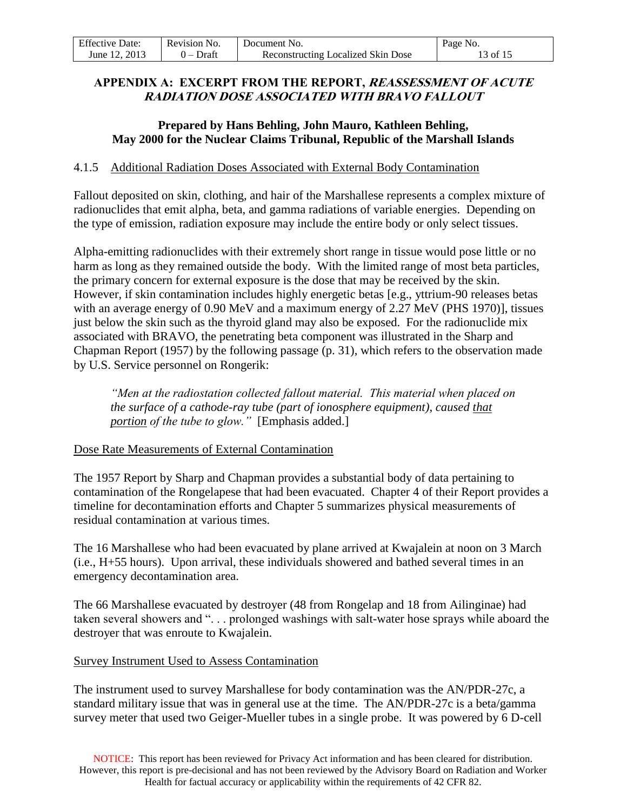| <b>Effective Date:</b> | Revision No. | Document No.                              | Page No. |
|------------------------|--------------|-------------------------------------------|----------|
| June 12, 2013          | $0$ – Draft  | <b>Reconstructing Localized Skin Dose</b> | 13 of 15 |

## <span id="page-12-0"></span>**APPENDIX A: EXCERPT FROM THE REPORT, REASSESSMENT OF ACUTE RADIATION DOSE ASSOCIATED WITH BRAVO FALLOUT**

## **Prepared by Hans Behling, John Mauro, Kathleen Behling, May 2000 for the Nuclear Claims Tribunal, Republic of the Marshall Islands**

#### 4.1.5 Additional Radiation Doses Associated with External Body Contamination

Fallout deposited on skin, clothing, and hair of the Marshallese represents a complex mixture of radionuclides that emit alpha, beta, and gamma radiations of variable energies. Depending on the type of emission, radiation exposure may include the entire body or only select tissues.

Alpha-emitting radionuclides with their extremely short range in tissue would pose little or no harm as long as they remained outside the body. With the limited range of most beta particles, the primary concern for external exposure is the dose that may be received by the skin. However, if skin contamination includes highly energetic betas [e.g., yttrium-90 releases betas with an average energy of 0.90 MeV and a maximum energy of 2.27 MeV (PHS 1970)], tissues just below the skin such as the thyroid gland may also be exposed. For the radionuclide mix associated with BRAVO, the penetrating beta component was illustrated in the Sharp and Chapman Report (1957) by the following passage (p. 31), which refers to the observation made by U.S. Service personnel on Rongerik:

*"Men at the radiostation collected fallout material. This material when placed on the surface of a cathode-ray tube (part of ionosphere equipment), caused that portion of the tube to glow."* [Emphasis added.]

#### Dose Rate Measurements of External Contamination

The 1957 Report by Sharp and Chapman provides a substantial body of data pertaining to contamination of the Rongelapese that had been evacuated. Chapter 4 of their Report provides a timeline for decontamination efforts and Chapter 5 summarizes physical measurements of residual contamination at various times.

The 16 Marshallese who had been evacuated by plane arrived at Kwajalein at noon on 3 March (i.e., H+55 hours). Upon arrival, these individuals showered and bathed several times in an emergency decontamination area.

The 66 Marshallese evacuated by destroyer (48 from Rongelap and 18 from Ailinginae) had taken several showers and ". . . prolonged washings with salt-water hose sprays while aboard the destroyer that was enroute to Kwajalein.

#### Survey Instrument Used to Assess Contamination

The instrument used to survey Marshallese for body contamination was the AN/PDR-27c, a standard military issue that was in general use at the time. The AN/PDR-27c is a beta/gamma survey meter that used two Geiger-Mueller tubes in a single probe. It was powered by 6 D-cell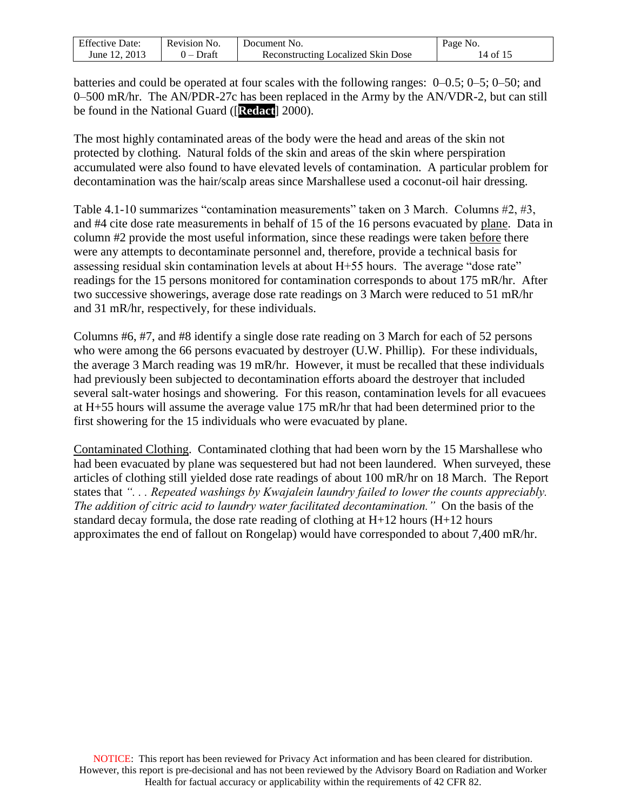| <b>Effective Date:</b> | Revision No. | Document No.                       | Page No. |
|------------------------|--------------|------------------------------------|----------|
| June 12, 2013          | 0 – Draft    | Reconstructing Localized Skin Dose | 14 of 15 |

batteries and could be operated at four scales with the following ranges: 0–0.5; 0–5; 0–50; and 0–500 mR/hr. The AN/PDR-27c has been replaced in the Army by the AN/VDR-2, but can still be found in the National Guard ([**Redact**] 2000).

The most highly contaminated areas of the body were the head and areas of the skin not protected by clothing. Natural folds of the skin and areas of the skin where perspiration accumulated were also found to have elevated levels of contamination. A particular problem for decontamination was the hair/scalp areas since Marshallese used a coconut-oil hair dressing.

Table 4.1-10 summarizes "contamination measurements" taken on 3 March. Columns #2, #3, and #4 cite dose rate measurements in behalf of 15 of the 16 persons evacuated by plane. Data in column #2 provide the most useful information, since these readings were taken before there were any attempts to decontaminate personnel and, therefore, provide a technical basis for assessing residual skin contamination levels at about H+55 hours. The average "dose rate" readings for the 15 persons monitored for contamination corresponds to about 175 mR/hr. After two successive showerings, average dose rate readings on 3 March were reduced to 51 mR/hr and 31 mR/hr, respectively, for these individuals.

Columns #6, #7, and #8 identify a single dose rate reading on 3 March for each of 52 persons who were among the 66 persons evacuated by destroyer (U.W. Phillip). For these individuals, the average 3 March reading was 19 mR/hr. However, it must be recalled that these individuals had previously been subjected to decontamination efforts aboard the destroyer that included several salt-water hosings and showering. For this reason, contamination levels for all evacuees at H+55 hours will assume the average value 175 mR/hr that had been determined prior to the first showering for the 15 individuals who were evacuated by plane.

Contaminated Clothing. Contaminated clothing that had been worn by the 15 Marshallese who had been evacuated by plane was sequestered but had not been laundered. When surveyed, these articles of clothing still yielded dose rate readings of about 100 mR/hr on 18 March. The Report states that *". . . Repeated washings by Kwajalein laundry failed to lower the counts appreciably. The addition of citric acid to laundry water facilitated decontamination."* On the basis of the standard decay formula, the dose rate reading of clothing at H+12 hours (H+12 hours approximates the end of fallout on Rongelap) would have corresponded to about 7,400 mR/hr.